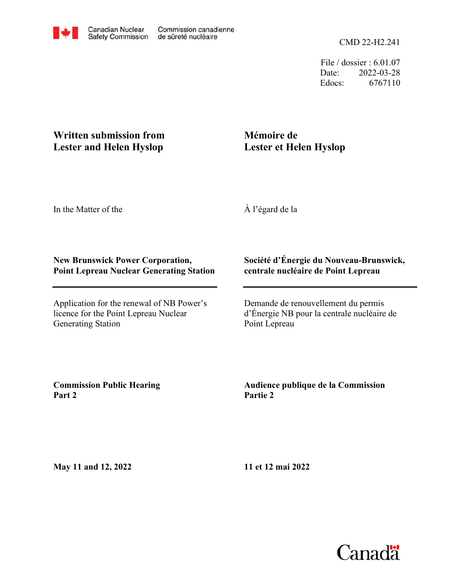File / dossier : 6.01.07 Date: 2022-03-28 Edocs: 6767110

## **Written submission from Lester and Helen Hyslop**

# **Mémoire de Lester et Helen Hyslop**

In the Matter of the

À l'égard de la

### **New Brunswick Power Corporation, Point Lepreau Nuclear Generating Station**

Application for the renewal of NB Power's licence for the Point Lepreau Nuclear Generating Station

### **Société d'Énergie du Nouveau-Brunswick, centrale nucléaire de Point Lepreau**

Demande de renouvellement du permis d'Énergie NB pour la centrale nucléaire de Point Lepreau

**Commission Public Hearing Part 2**

### **Audience publique de la Commission Partie 2**

**May 11 and 12, 2022**

**11 et 12 mai 2022**